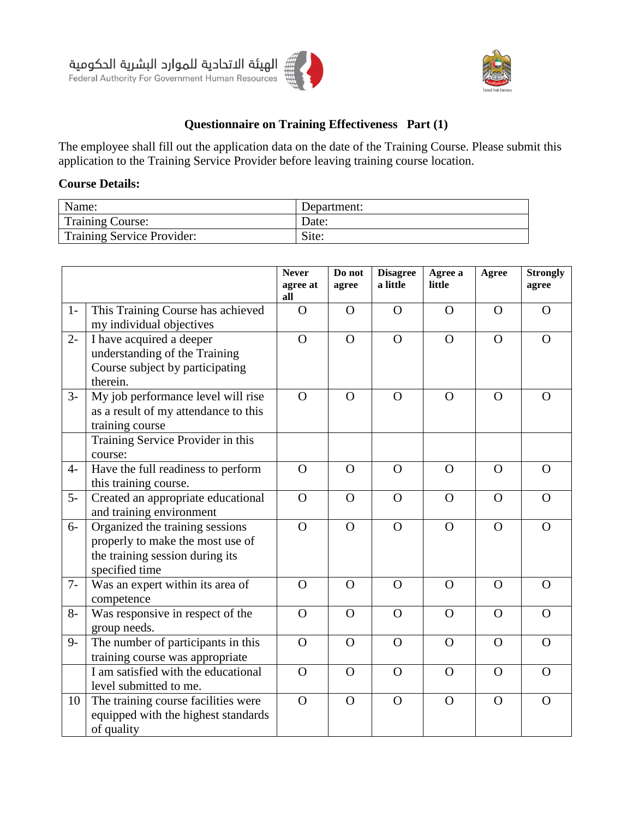



## **[Questionnaire](http://context.reverso.net/translation/english-arabic/questionnaire) on Training [Effectiveness P](http://context.reverso.net/translation/english-arabic/effectiveness+of+training)art (1)**

The employee shall fill out the application data on the date of the Training Course. Please submit this application to the Training Service Provider before leaving training course location.

# **Course Details:**

| Name:                      | Department: |
|----------------------------|-------------|
| <b>Training Course:</b>    | Date:       |
| Training Service Provider: | Site:       |

|       |                                                                                                                          | <b>Never</b><br>agree at<br>all | Do not<br>agree | <b>Disagree</b><br>a little | Agree a<br>little | Agree    | <b>Strongly</b><br>agree |
|-------|--------------------------------------------------------------------------------------------------------------------------|---------------------------------|-----------------|-----------------------------|-------------------|----------|--------------------------|
| $1-$  | This Training Course has achieved<br>my individual objectives                                                            | $\overline{O}$                  | $\overline{O}$  | $\overline{O}$              | $\overline{O}$    | $\Omega$ | $\Omega$                 |
| $2 -$ | I have acquired a deeper<br>understanding of the Training<br>Course subject by participating<br>therein.                 | $\overline{O}$                  | $\mathbf O$     | $\Omega$                    | $\Omega$          | $\Omega$ | $\Omega$                 |
| $3-$  | My job performance level will rise<br>as a result of my attendance to this<br>training course                            | $\overline{O}$                  | $\Omega$        | $\Omega$                    | $\overline{O}$    | $\Omega$ | $\Omega$                 |
|       | Training Service Provider in this<br>course:                                                                             |                                 |                 |                             |                   |          |                          |
| $4-$  | Have the full readiness to perform<br>this training course.                                                              | $\Omega$                        | $\Omega$        | $\Omega$                    | $\Omega$          | $\Omega$ | $\Omega$                 |
| $5-$  | Created an appropriate educational<br>and training environment                                                           | $\overline{O}$                  | $\Omega$        | $\Omega$                    | $\Omega$          | $\Omega$ | $\Omega$                 |
| $6-$  | Organized the training sessions<br>properly to make the most use of<br>the training session during its<br>specified time | $\Omega$                        | $\mathbf{O}$    | $\mathbf{O}$                | $\mathbf O$       | $\Omega$ | $\Omega$                 |
| $7-$  | Was an expert within its area of<br>competence                                                                           | $\overline{O}$                  | $\Omega$        | $\overline{O}$              | $\overline{O}$    | $\Omega$ | $\Omega$                 |
| $8-$  | Was responsive in respect of the<br>group needs.                                                                         | $\overline{O}$                  | $\Omega$        | $\Omega$                    | $\Omega$          | $\Omega$ | $\Omega$                 |
| $9-$  | The number of participants in this<br>training course was appropriate                                                    | $\mathbf O$                     | $\mathbf{O}$    | $\mathbf{O}$                | $\Omega$          | $\Omega$ | $\Omega$                 |
|       | I am satisfied with the educational<br>level submitted to me.                                                            | $\overline{O}$                  | $\Omega$        | $\Omega$                    | $\Omega$          | $\Omega$ | $\Omega$                 |
| 10    | The training course facilities were<br>equipped with the highest standards<br>of quality                                 | $\overline{O}$                  | $\Omega$        | $\Omega$                    | $\mathbf O$       | $\Omega$ | $\Omega$                 |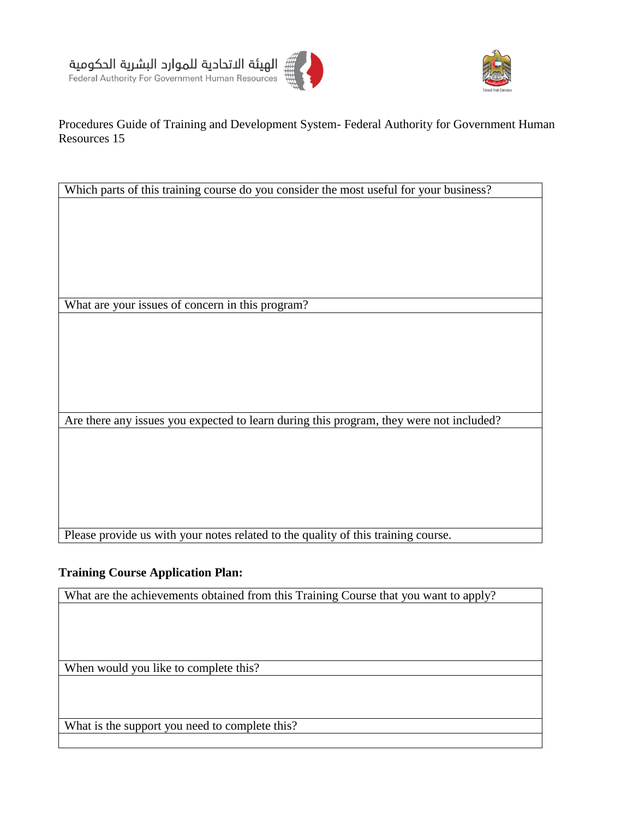





### Procedures Guide of Training and Development System- Federal Authority for Government Human Resources 15

Which parts of this training course do you consider the most useful for your business?

What are your issues of concern in this program?

Are there any issues you expected to learn during this program, they were not included?

Please provide us with your notes related to the quality of this training course.

#### **Training Course Application Plan:**

What are the achievements obtained from this Training Course that you want to apply?

When would you like to complete this?

What is the support you need to complete this?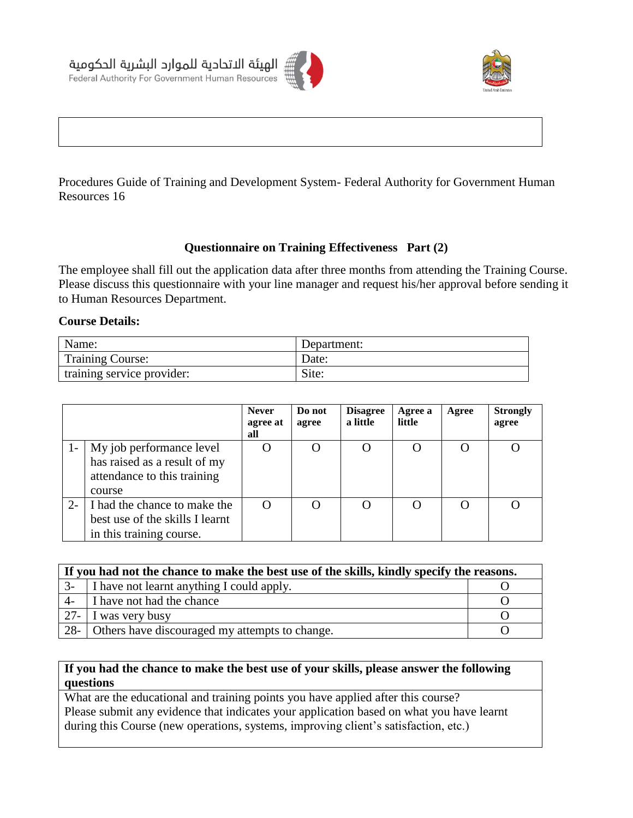



Procedures Guide of Training and Development System- Federal Authority for Government Human Resources 16

### **[Questionnaire](http://context.reverso.net/translation/english-arabic/questionnaire) on Training [Effectiveness P](http://context.reverso.net/translation/english-arabic/effectiveness+of+training)art (2)**

The employee shall fill out the application data after three months from attending the Training Course. Please discuss this [questionnaire](http://context.reverso.net/translation/english-arabic/questionnaire) with your line manager and request his/her approval before sending it to Human Resources Department.

#### **Course Details:**

الهيئة الاتحادية للموارد البشرية الحكومية Federal Authority For Government Human Resources

| Name:                      | Department: |
|----------------------------|-------------|
| Training Course:           | Date:       |
| training service provider: | Site:       |

|       |                                                                                                   | <b>Never</b><br>agree at<br>all | Do not<br>agree | <b>Disagree</b><br>a little | Agree a<br>little | Agree | <b>Strongly</b><br>agree |
|-------|---------------------------------------------------------------------------------------------------|---------------------------------|-----------------|-----------------------------|-------------------|-------|--------------------------|
|       | My job performance level<br>has raised as a result of my<br>attendance to this training<br>course |                                 |                 |                             |                   |       |                          |
| $2 -$ | I had the chance to make the<br>best use of the skills I learnt<br>in this training course.       |                                 |                 |                             |                   |       |                          |

| If you had not the chance to make the best use of the skills, kindly specify the reasons. |                                                |  |  |  |
|-------------------------------------------------------------------------------------------|------------------------------------------------|--|--|--|
| $3-$                                                                                      | I have not learnt anything I could apply.      |  |  |  |
| $4-$                                                                                      | I have not had the chance                      |  |  |  |
| $27-$                                                                                     | I was very busy                                |  |  |  |
| $28 -$                                                                                    | Others have discouraged my attempts to change. |  |  |  |

#### **If you had the chance to make the best use of your skills, please answer the following questions**

What are the educational and training points you have applied after this course? Please submit any evidence that indicates your application based on what you have learnt during this Course (new operations, systems, improving client's satisfaction, etc.)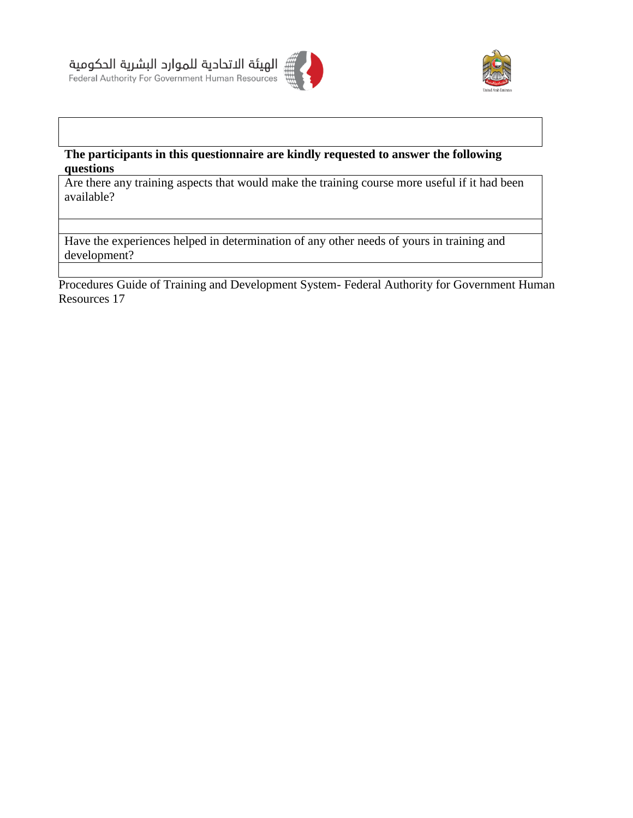





## **The participants in this [questionnaire](http://context.reverso.net/translation/english-arabic/questionnaire) are kindly requested to answer the following questions**

Are there any training aspects that would make the training course more useful if it had been available?

Have the experiences helped in determination of any other needs of yours in training and development?

Procedures Guide of Training and Development System- Federal Authority for Government Human Resources 17